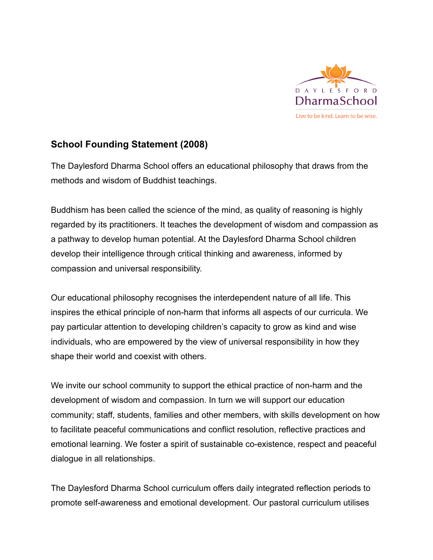

## **School Founding Statement (2008)**

The Daylesford Dharma School offers an educational philosophy that draws from the methods and wisdom of Buddhist teachings.

Buddhism has been called the science of the mind, as quality of reasoning is highly regarded by its practitioners. It teaches the development of wisdom and compassion as a pathway to develop human potential. At the Daylesford Dharma School children develop their intelligence through critical thinking and awareness, informed by compassion and universal responsibility.

Our educational philosophy recognises the interdependent nature of all life. This inspires the ethical principle of non-harm that informs all aspects of our curricula. We pay particular attention to developing children's capacity to grow as kind and wise individuals, who are empowered by the view of universal responsibility in how they shape their world and coexist with others.

We invite our school community to support the ethical practice of non-harm and the development of wisdom and compassion. In turn we will support our education community; staff, students, families and other members, with skills development on how to facilitate peaceful communications and conflict resolution, reflective practices and emotional learning. We foster a spirit of sustainable co-existence, respect and peaceful dialogue in all relationships.

The Daylesford Dharma School curriculum offers daily integrated reflection periods to promote self-awareness and emotional development. Our pastoral curriculum utilises